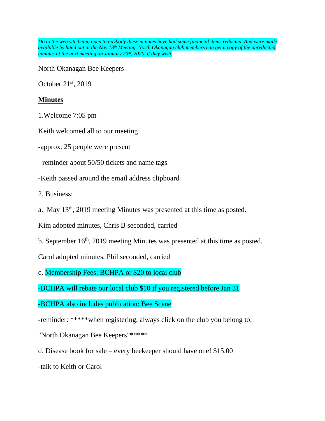*Do to the web site being open to anybody these minutes have had some financial items redacted. And were made available by hand out at the Nov 18th Meeting. North Okanagan club members can get a copy of the unredacted minutes at the next meeting on January 20th , 2020, if they wish.*

North Okanagan Bee Keepers

October 21st, 2019

## **Minutes**

1.Welcome 7:05 pm

Keith welcomed all to our meeting

-approx. 25 people were present

- reminder about 50/50 tickets and name tags

-Keith passed around the email address clipboard

2. Business:

a. May 13th, 2019 meeting Minutes was presented at this time as posted.

Kim adopted minutes, Chris B seconded, carried

b. September 16<sup>th</sup>, 2019 meeting Minutes was presented at this time as posted.

Carol adopted minutes, Phil seconded, carried

c. Membership Fees: BCHPA or \$20 to local club

-BCHPA will rebate our local club \$10 if you registered before Jan 31

-BCHPA also includes publication: Bee Scene

-reminder: \*\*\*\*\*when registering, always click on the club you belong to:

"North Okanagan Bee Keepers"\*\*\*\*\*

d. Disease book for sale – every beekeeper should have one! \$15.00

-talk to Keith or Carol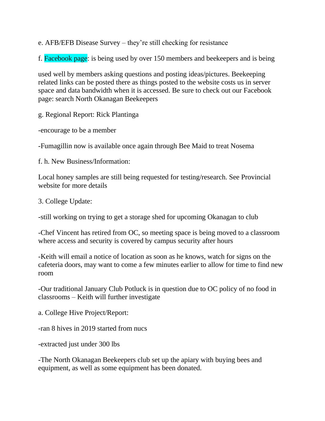e. AFB/EFB Disease Survey – they're still checking for resistance

f. Facebook page: is being used by over 150 members and beekeepers and is being

used well by members asking questions and posting ideas/pictures. Beekeeping related links can be posted there as things posted to the website costs us in server space and data bandwidth when it is accessed. Be sure to check out our Facebook page: search North Okanagan Beekeepers

g. Regional Report: Rick Plantinga

-encourage to be a member

-Fumagillin now is available once again through Bee Maid to treat Nosema

f. h. New Business/Information:

Local honey samples are still being requested for testing/research. See Provincial website for more details

3. College Update:

-still working on trying to get a storage shed for upcoming Okanagan to club

-Chef Vincent has retired from OC, so meeting space is being moved to a classroom where access and security is covered by campus security after hours

-Keith will email a notice of location as soon as he knows, watch for signs on the cafeteria doors, may want to come a few minutes earlier to allow for time to find new room

-Our traditional January Club Potluck is in question due to OC policy of no food in classrooms – Keith will further investigate

a. College Hive Project/Report:

-ran 8 hives in 2019 started from nucs

-extracted just under 300 lbs

-The North Okanagan Beekeepers club set up the apiary with buying bees and equipment, as well as some equipment has been donated.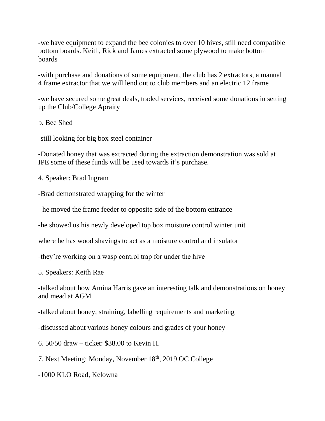-we have equipment to expand the bee colonies to over 10 hives, still need compatible bottom boards. Keith, Rick and James extracted some plywood to make bottom boards

-with purchase and donations of some equipment, the club has 2 extractors, a manual 4 frame extractor that we will lend out to club members and an electric 12 frame

-we have secured some great deals, traded services, received some donations in setting up the Club/College Aprairy

b. Bee Shed

-still looking for big box steel container

-Donated honey that was extracted during the extraction demonstration was sold at IPE some of these funds will be used towards it's purchase.

4. Speaker: Brad Ingram

-Brad demonstrated wrapping for the winter

- he moved the frame feeder to opposite side of the bottom entrance

-he showed us his newly developed top box moisture control winter unit

where he has wood shavings to act as a moisture control and insulator

-they're working on a wasp control trap for under the hive

5. Speakers: Keith Rae

-talked about how Amina Harris gave an interesting talk and demonstrations on honey and mead at AGM

-talked about honey, straining, labelling requirements and marketing

-discussed about various honey colours and grades of your honey

6. 50/50 draw – ticket: \$38.00 to Kevin H.

7. Next Meeting: Monday, November 18th, 2019 OC College

-1000 KLO Road, Kelowna